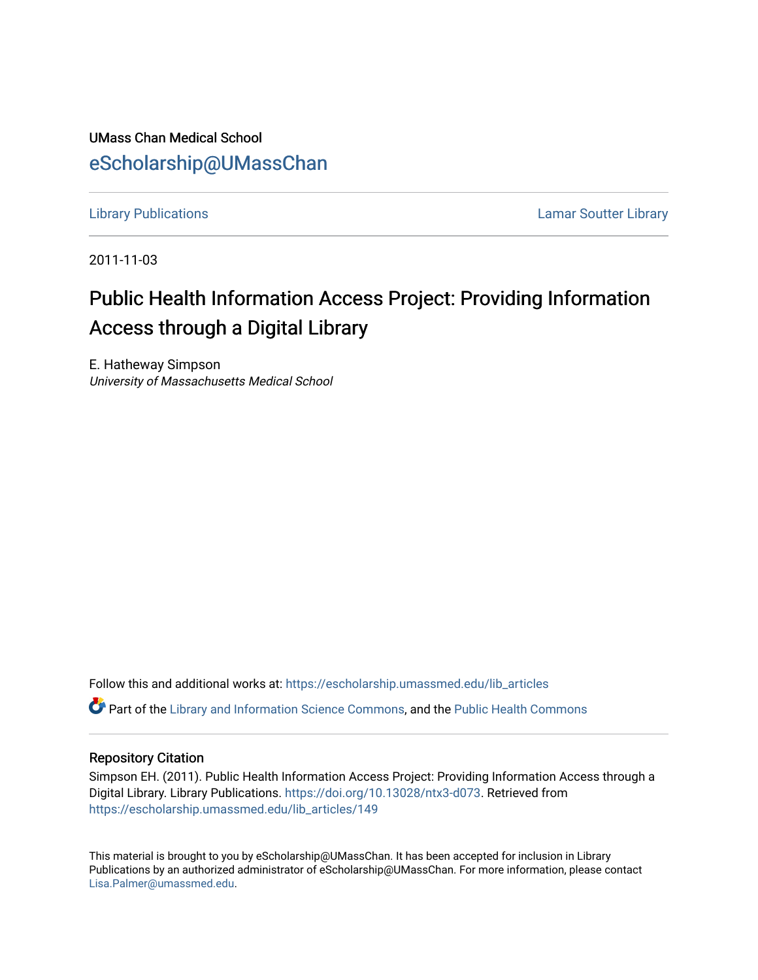UMass Chan Medical School [eScholarship@UMassChan](https://escholarship.umassmed.edu/) 

[Library Publications](https://escholarship.umassmed.edu/lib_articles) [Lamar Soutter Library](https://escholarship.umassmed.edu/library) 

2011-11-03

### Public Health Information Access Project: Providing Information Access through a Digital Library

E. Hatheway Simpson University of Massachusetts Medical School

Follow this and additional works at: [https://escholarship.umassmed.edu/lib\\_articles](https://escholarship.umassmed.edu/lib_articles?utm_source=escholarship.umassmed.edu%2Flib_articles%2F149&utm_medium=PDF&utm_campaign=PDFCoverPages) 

Part of the [Library and Information Science Commons,](http://network.bepress.com/hgg/discipline/1018?utm_source=escholarship.umassmed.edu%2Flib_articles%2F149&utm_medium=PDF&utm_campaign=PDFCoverPages) and the [Public Health Commons](http://network.bepress.com/hgg/discipline/738?utm_source=escholarship.umassmed.edu%2Flib_articles%2F149&utm_medium=PDF&utm_campaign=PDFCoverPages) 

#### Repository Citation

Simpson EH. (2011). Public Health Information Access Project: Providing Information Access through a Digital Library. Library Publications.<https://doi.org/10.13028/ntx3-d073>. Retrieved from [https://escholarship.umassmed.edu/lib\\_articles/149](https://escholarship.umassmed.edu/lib_articles/149?utm_source=escholarship.umassmed.edu%2Flib_articles%2F149&utm_medium=PDF&utm_campaign=PDFCoverPages) 

This material is brought to you by eScholarship@UMassChan. It has been accepted for inclusion in Library Publications by an authorized administrator of eScholarship@UMassChan. For more information, please contact [Lisa.Palmer@umassmed.edu](mailto:Lisa.Palmer@umassmed.edu).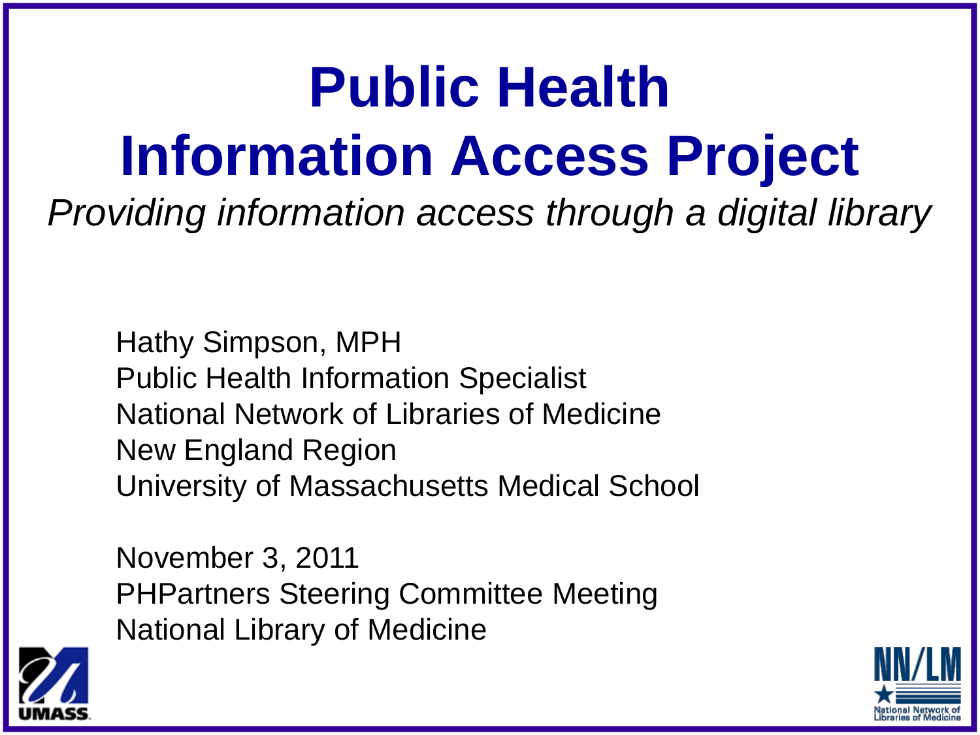## **Public Health Information Access Project**

*Providing information access through a digital library*

Hathy Simpson, MPH Public Health Information Specialist National Network of Libraries of Medicine New England Region University of Massachusetts Medical School

November 3, 2011 PHPartners Steering Committee Meeting National Library of Medicine



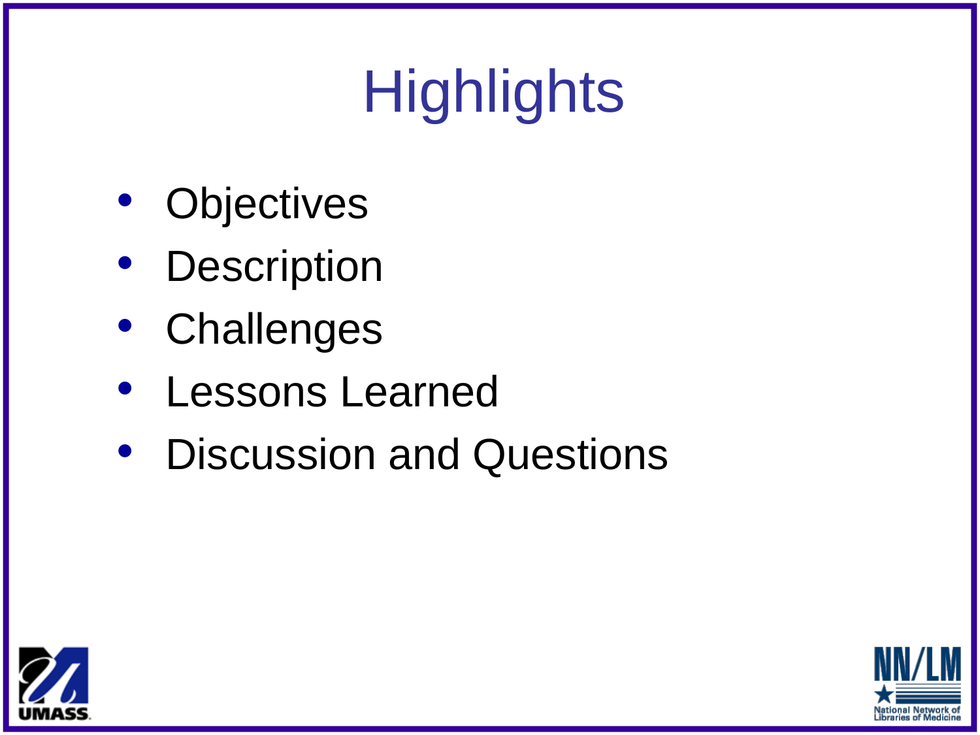# **Highlights**

- **Objectives**
- **Description**
- **Challenges**
- Lessons Learned
- Discussion and Questions



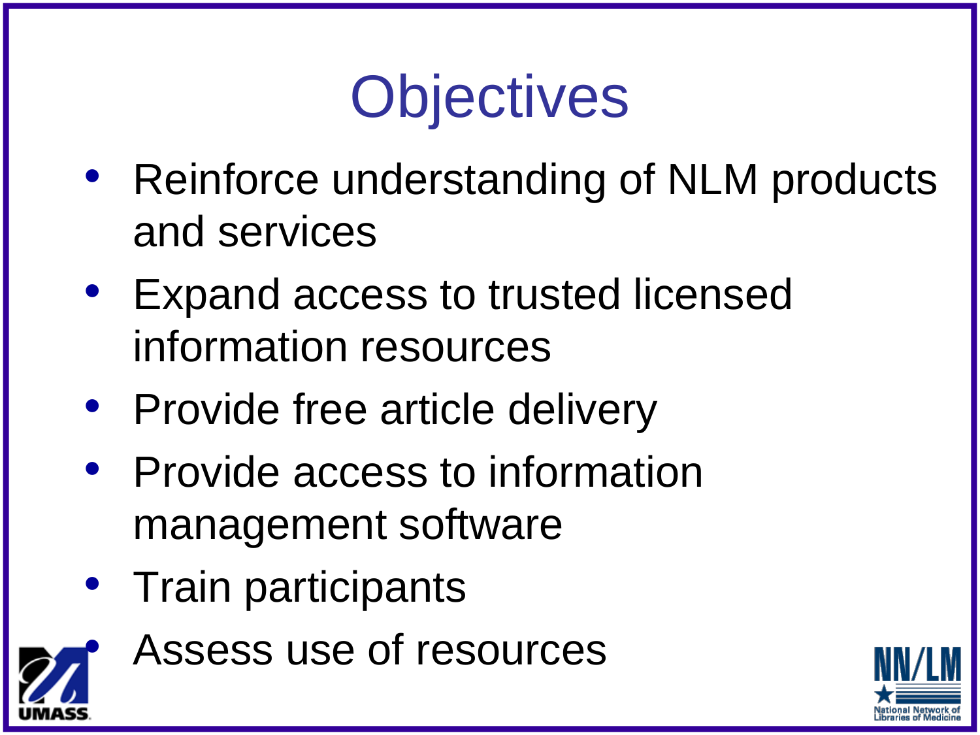## **Objectives**

- Reinforce understanding of NLM products and services
- Expand access to trusted licensed information resources
- Provide free article delivery
- Provide access to information management software
- Train participants



Assess use of resources

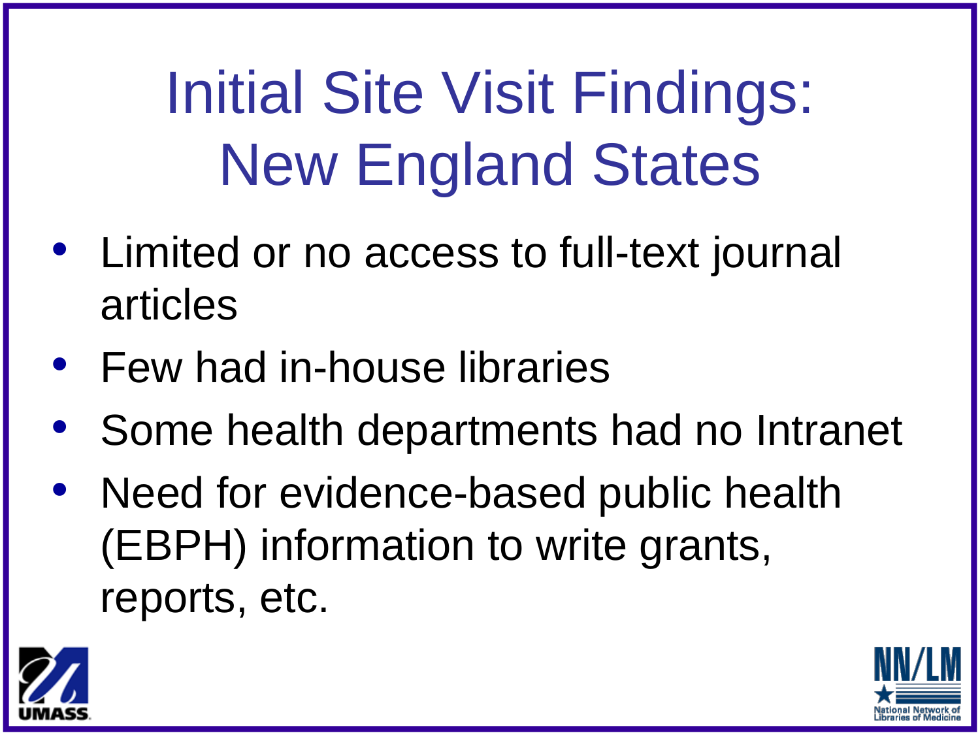Initial Site Visit Findings: New England States

- Limited or no access to full-text journal articles
- Few had in-house libraries
- Some health departments had no Intranet
- Need for evidence-based public health (EBPH) information to write grants, reports, etc.



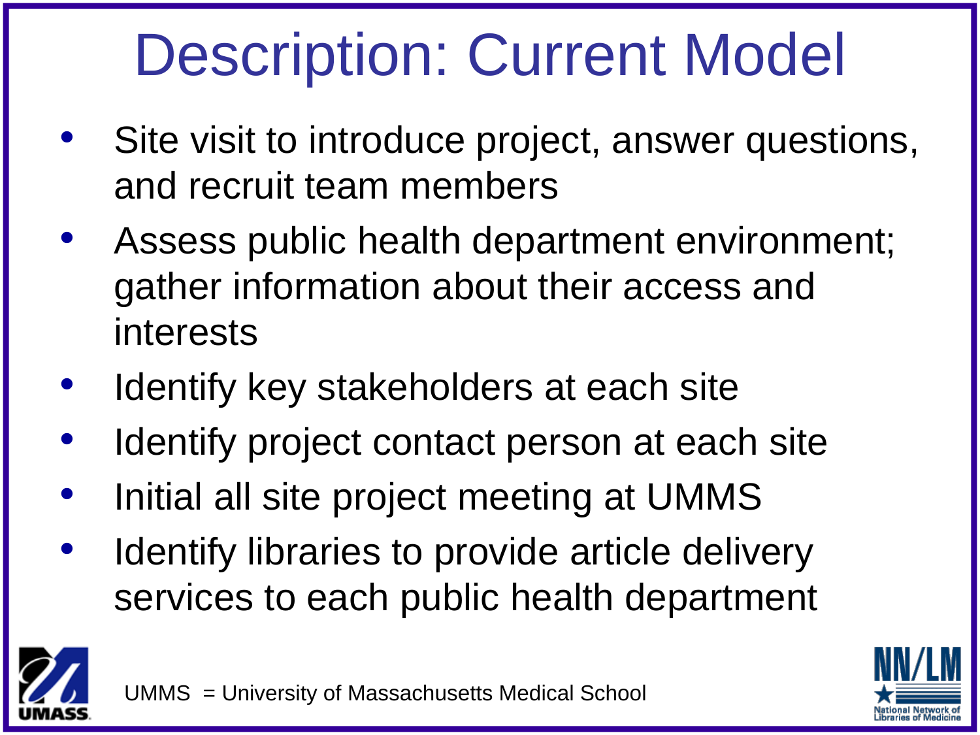## Description: Current Model

- Site visit to introduce project, answer questions, and recruit team members
- Assess public health department environment; gather information about their access and interests
- Identify key stakeholders at each site
- Identify project contact person at each site
- Initial all site project meeting at UMMS
- Identify libraries to provide article delivery services to each public health department





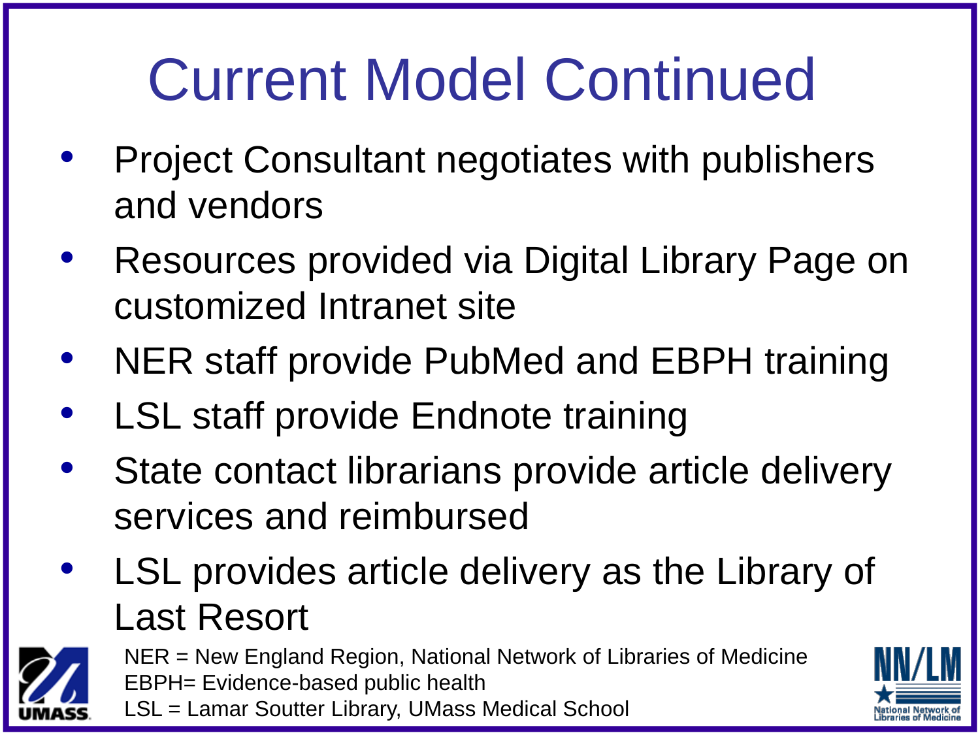## Current Model Continued

- Project Consultant negotiates with publishers and vendors
- Resources provided via Digital Library Page on customized Intranet site
- NER staff provide PubMed and EBPH training
- LSL staff provide Endnote training
- State contact librarians provide article delivery services and reimbursed
- LSL provides article delivery as the Library of Last Resort



NER = New England Region, National Network of Libraries of Medicine EBPH= Evidence-based public health LSL = Lamar Soutter Library, UMass Medical School

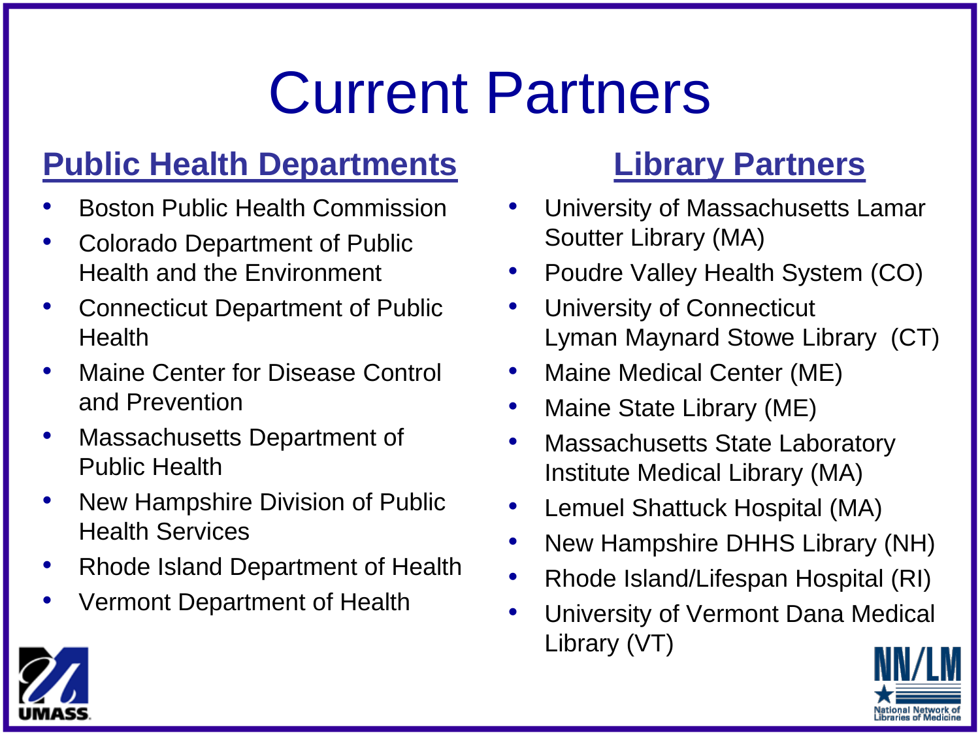### Current Partners

### **Public Health Departments Library Partners**

- Boston Public Health Commission
- Colorado Department of Public Health and the Environment
- Connecticut Department of Public Health
- Maine Center for Disease Control and Prevention
- Massachusetts Department of Public Health
- New Hampshire Division of Public Health Services
- Rhode Island Department of Health
- Vermont Department of Health

- University of Massachusetts Lamar Soutter Library (MA)
- Poudre Valley Health System (CO)
- University of Connecticut Lyman Maynard Stowe Library (CT)
- Maine Medical Center (ME)
- Maine State Library (ME)
- Massachusetts State Laboratory Institute Medical Library (MA)
- Lemuel Shattuck Hospital (MA)
- New Hampshire DHHS Library (NH)
- Rhode Island/Lifespan Hospital (RI)
- University of Vermont Dana Medical Library (VT)

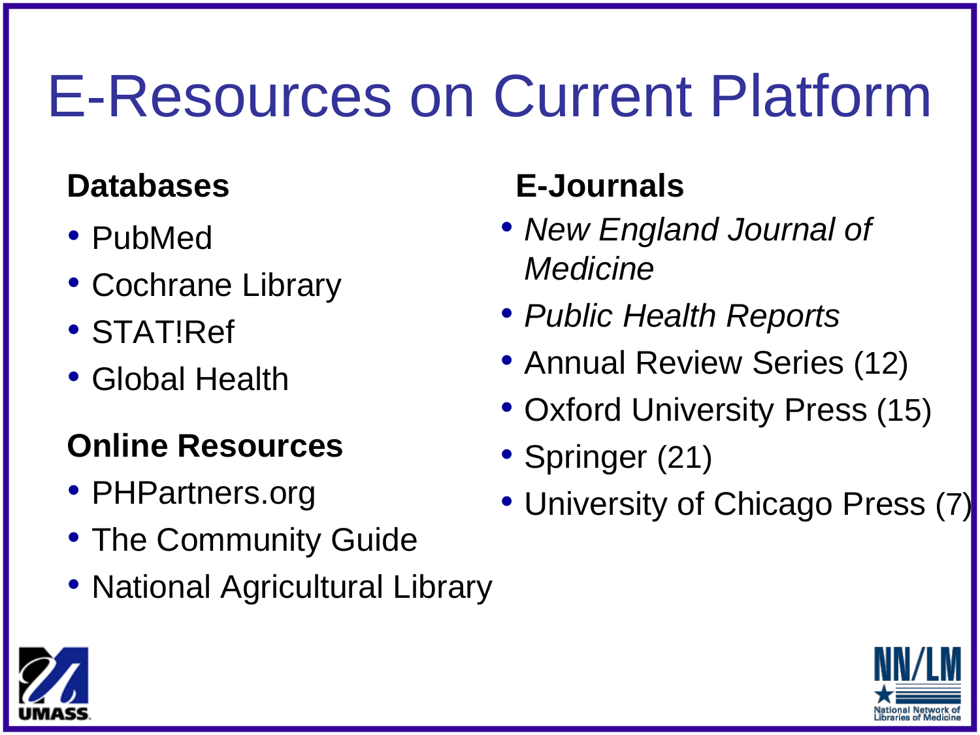## E-Resources on Current Platform

- PubMed
- Cochrane Library
- STAT!Ref
- Global Health

### **Online Resources**

- PHPartners.org
- The Community Guide
- National Agricultural Library

### **Databases E-Journals**

- *New England Journal of Medicine*
- *Public Health Reports*
- Annual Review Series (12)
- Oxford University Press (15)
- Springer (21)
- University of Chicago Press (7)



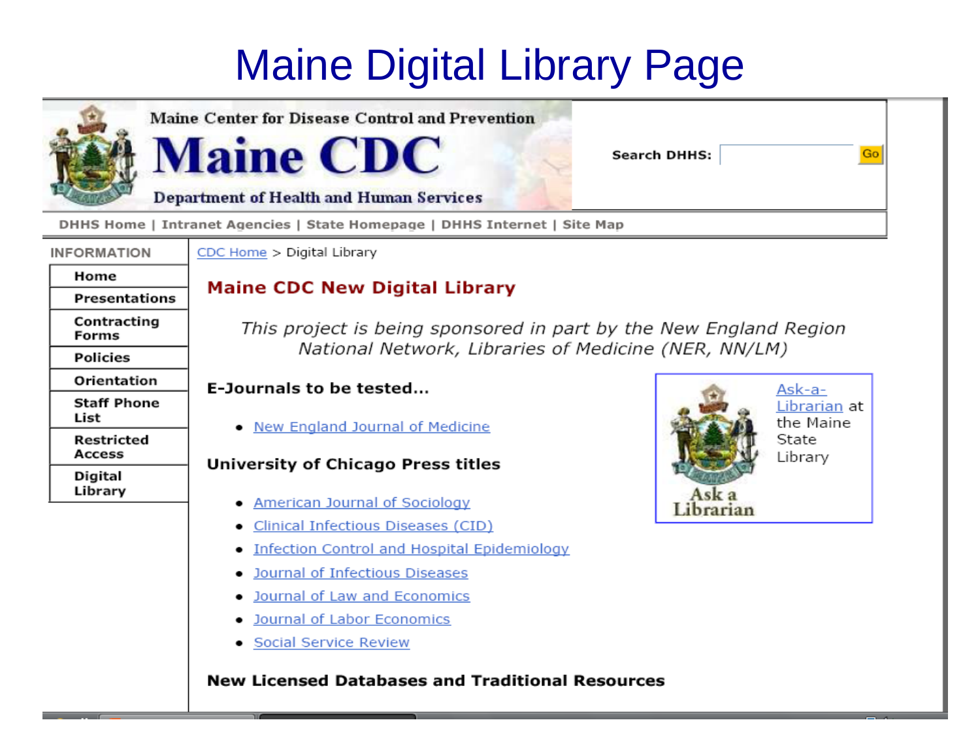### Maine Digital Library Page



**Maine Center for Disease Control and Prevention** 

**Search DHHS:** 

**Department of Health and Human Services** 

DHHS Home | Intranet Agencies | State Homepage | DHHS Internet | Site Map

#### **INFORMATION** Home

**Forms** 

List

**Policies** 

Orientation

**Staff Phone** 

Restricted **Access** 

Digital Library

**Presentations** Contracting

CDC Home > Digital Library

**Maine CDC** 

### **Maine CDC New Digital Library**

This project is being sponsored in part by the New England Region National Network, Libraries of Medicine (NER, NN/LM)

#### E-Journals to be tested...

• New England Journal of Medicine

#### University of Chicago Press titles

- American Journal of Sociology
- Clinical Infectious Diseases (CID)
- Infection Control and Hospital Epidemiology
- Journal of Infectious Diseases
- . Journal of Law and Economics
- Journal of Labor Economics
- Social Service Review

#### **New Licensed Databases and Traditional Resources**



Go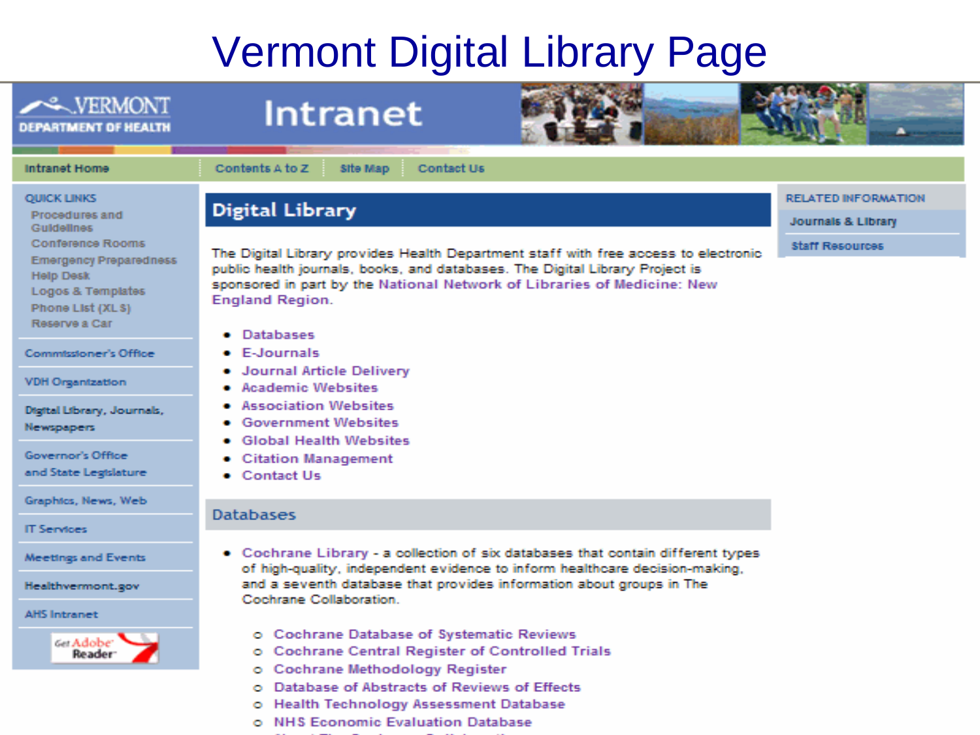### Vermont Digital Library Page



- ö Health Technology Assessment Database
- o NHS Economic Evaluation Database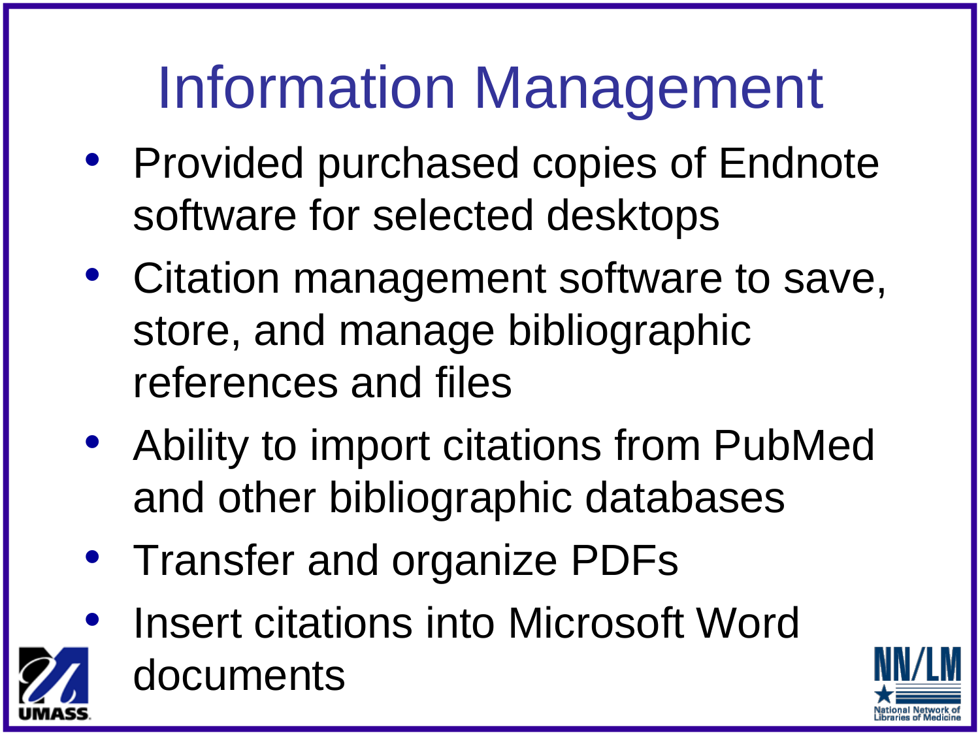## Information Management

- Provided purchased copies of Endnote software for selected desktops
- Citation management software to save, store, and manage bibliographic references and files
- Ability to import citations from PubMed and other bibliographic databases
- Transfer and organize PDFs
- Insert citations into Microsoft Word documents

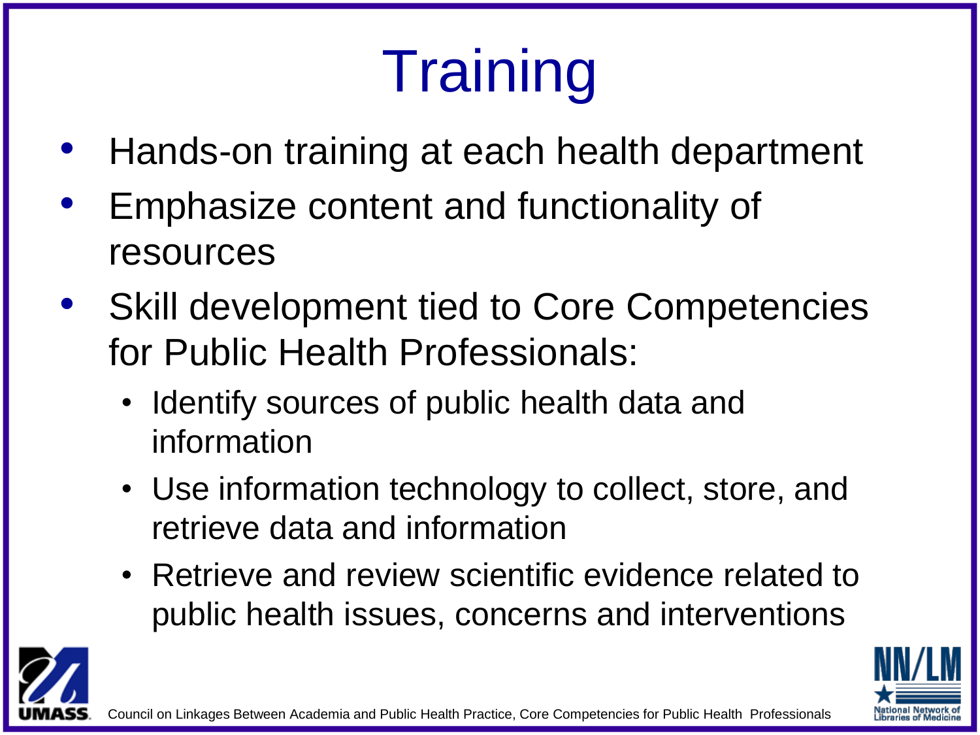# **Training**

- Hands-on training at each health department
- Emphasize content and functionality of resources
- Skill development tied to Core Competencies for Public Health Professionals:
	- Identify sources of public health data and information
	- Use information technology to collect, store, and retrieve data and information
	- Retrieve and review scientific evidence related to public health issues, concerns and interventions



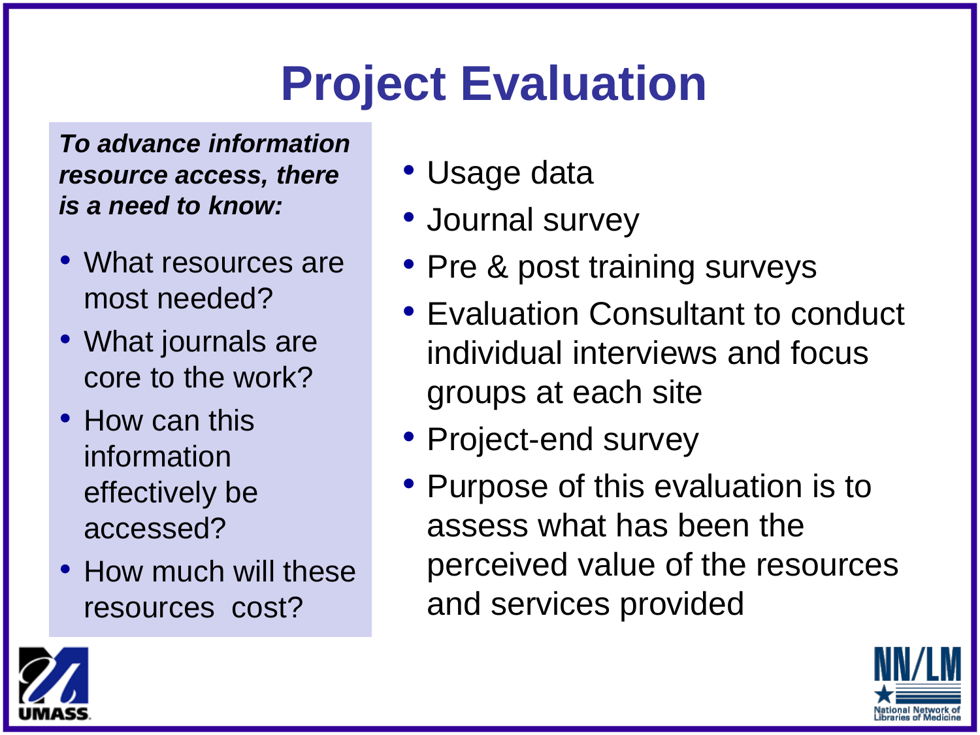### **Project Evaluation**

*To advance information resource access, there is a need to know:*

- What resources are most needed?
- What journals are core to the work?
- How can this information effectively be accessed?
- How much will these resources cost?
- Usage data
- Journal survey
- Pre & post training surveys
- Evaluation Consultant to conduct individual interviews and focus groups at each site
- Project-end survey
- Purpose of this evaluation is to assess what has been the perceived value of the resources and services provided



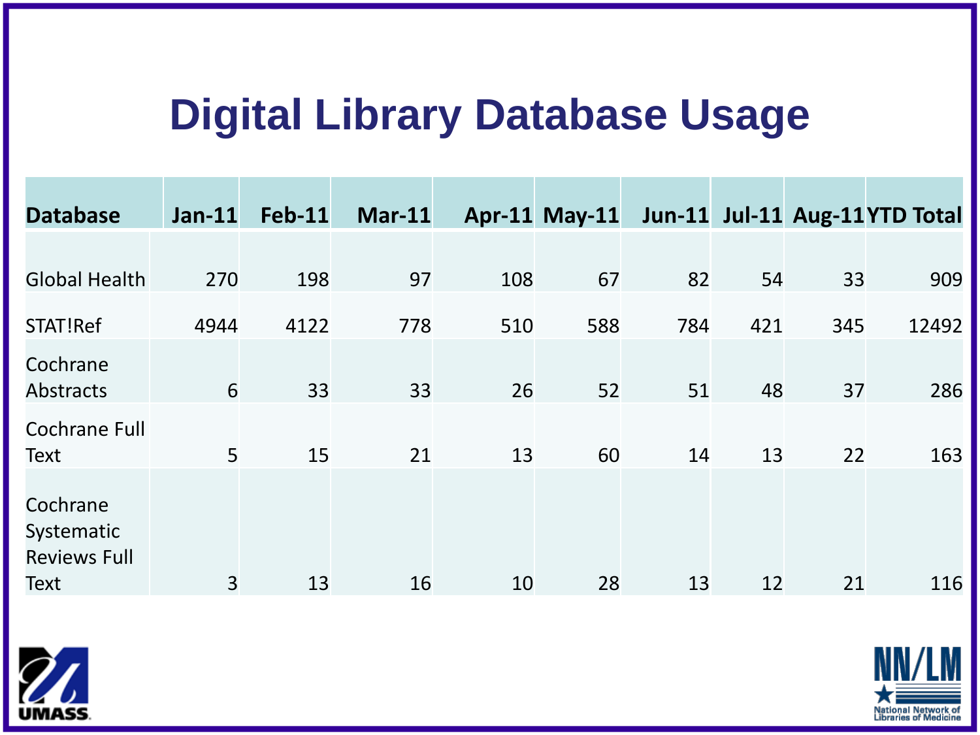### **Digital Library Database Usage**

| <b>Database</b>                                       | $Jan-11$ | <b>Feb-11</b> | $Mar-11$ |     | <b>Apr-11 May-11</b> |     |     |     | Jun-11 Jul-11 Aug-11YTD Total |
|-------------------------------------------------------|----------|---------------|----------|-----|----------------------|-----|-----|-----|-------------------------------|
| <b>Global Health</b>                                  | 270      | 198           | 97       | 108 | 67                   | 82  | 54  | 33  | 909                           |
| STAT!Ref                                              | 4944     | 4122          | 778      | 510 | 588                  | 784 | 421 | 345 | 12492                         |
| Cochrane<br><b>Abstracts</b>                          | 6        | 33            | 33       | 26  | 52                   | 51  | 48  | 37  | 286                           |
| <b>Cochrane Full</b><br><b>Text</b>                   | 5        | 15            | 21       | 13  | 60                   | 14  | 13  | 22  | 163                           |
| Cochrane<br>Systematic<br><b>Reviews Full</b><br>Text | 3        | 13            | 16       | 10  | 28                   | 13  | 12  | 21  | 116                           |



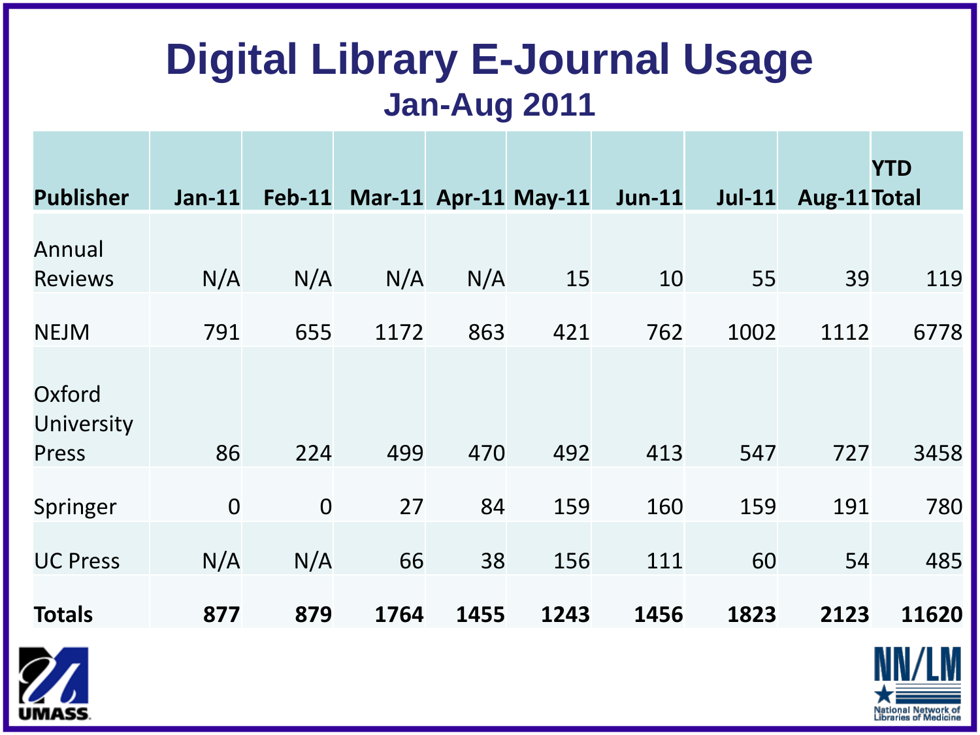### **Digital Library E-Journal Usage Jan-Aug 2011**

|                               |               |                |      |      |                      |               |               |              | <b>YTD</b> |
|-------------------------------|---------------|----------------|------|------|----------------------|---------------|---------------|--------------|------------|
| <b>Publisher</b>              | <b>Jan-11</b> | <b>Feb-11</b>  |      |      | Mar-11 Apr-11 May-11 | <b>Jun-11</b> | <b>Jul-11</b> | Aug-11 Total |            |
| Annual<br><b>Reviews</b>      | N/A           | N/A            | N/A  | N/A  | 15                   | 10            | 55            | 39           | 119        |
| <b>NEJM</b>                   | 791           | 655            | 1172 | 863  | 421                  | 762           | 1002          | 1112         | 6778       |
| Oxford<br>University<br>Press | 86            | 224            | 499  | 470  | 492                  | 413           | 547           | 727          | 3458       |
| Springer                      | $\mathbf 0$   | $\overline{0}$ | 27   | 84   | 159                  | 160           | 159           | 191          | 780        |
| <b>UC Press</b>               | N/A           | N/A            | 66   | 38   | 156                  | 111           | 60            | 54           | 485        |
| <b>Totals</b>                 | 877           | 879            | 1764 | 1455 | 1243                 | 1456          | 1823          | 2123         | 11620      |



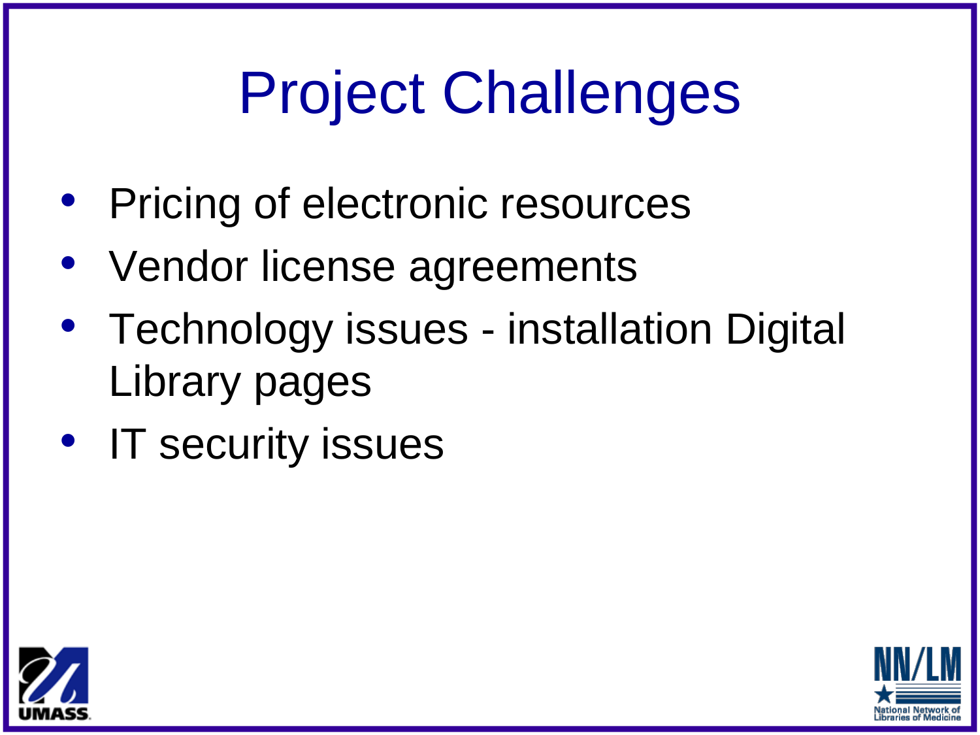## Project Challenges

- Pricing of electronic resources
- Vendor license agreements
- Technology issues installation Digital Library pages
- IT security issues



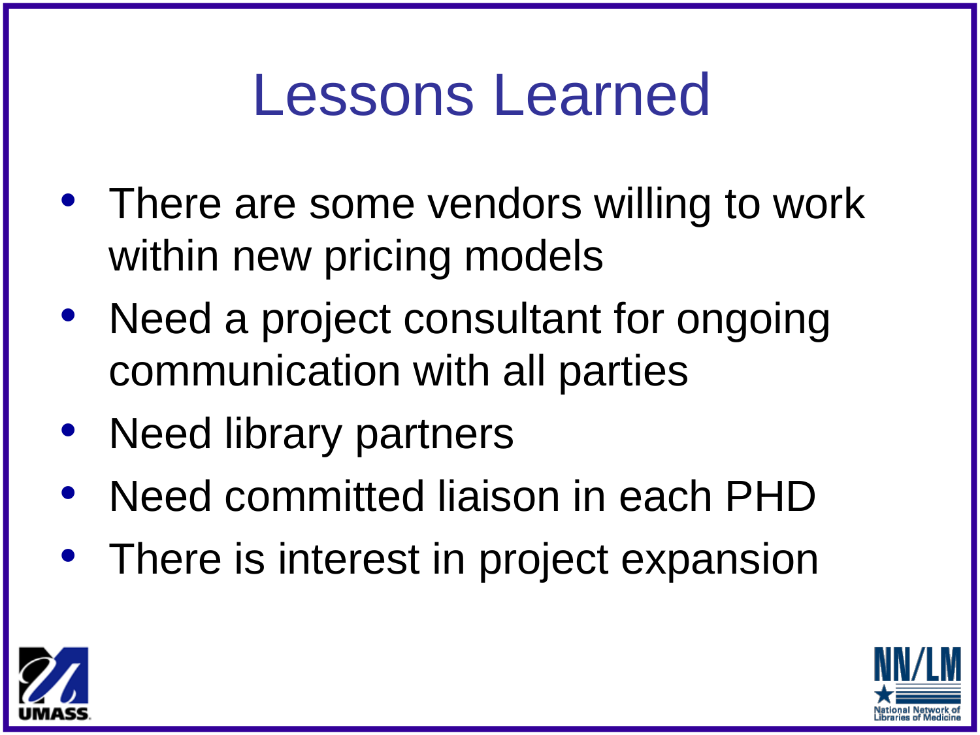### Lessons Learned

- There are some vendors willing to work within new pricing models
- Need a project consultant for ongoing communication with all parties
- Need library partners
- Need committed liaison in each PHD
- There is interest in project expansion